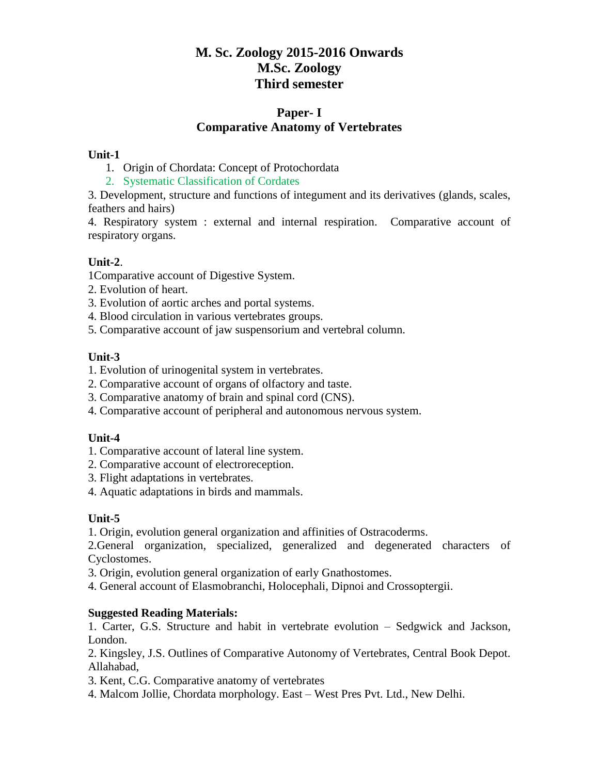# **M. Sc. Zoology 2015-2016 Onwards M.Sc. Zoology Third semester**

## **Paper- I Comparative Anatomy of Vertebrates**

## **Unit-1**

- 1. Origin of Chordata: Concept of Protochordata
- 2. Systematic Classification of Cordates

3. Development, structure and functions of integument and its derivatives (glands, scales, feathers and hairs)

4. Respiratory system : external and internal respiration. Comparative account of respiratory organs.

## **Unit-2**.

1Comparative account of Digestive System.

- 2. Evolution of heart.
- 3. Evolution of aortic arches and portal systems.
- 4. Blood circulation in various vertebrates groups.
- 5. Comparative account of jaw suspensorium and vertebral column.

## **Unit-3**

- 1. Evolution of urinogenital system in vertebrates.
- 2. Comparative account of organs of olfactory and taste.
- 3. Comparative anatomy of brain and spinal cord (CNS).
- 4. Comparative account of peripheral and autonomous nervous system.

## **Unit-4**

- 1. Comparative account of lateral line system.
- 2. Comparative account of electroreception.
- 3. Flight adaptations in vertebrates.
- 4. Aquatic adaptations in birds and mammals.

## **Unit-5**

1. Origin, evolution general organization and affinities of Ostracoderms.

2.General organization, specialized, generalized and degenerated characters of Cyclostomes.

3. Origin, evolution general organization of early Gnathostomes.

4. General account of Elasmobranchi, Holocephali, Dipnoi and Crossoptergii.

## **Suggested Reading Materials:**

1. Carter, G.S. Structure and habit in vertebrate evolution – Sedgwick and Jackson, London.

2. Kingsley, J.S. Outlines of Comparative Autonomy of Vertebrates, Central Book Depot. Allahabad,

- 3. Kent, C.G. Comparative anatomy of vertebrates
- 4. Malcom Jollie, Chordata morphology. East West Pres Pvt. Ltd., New Delhi.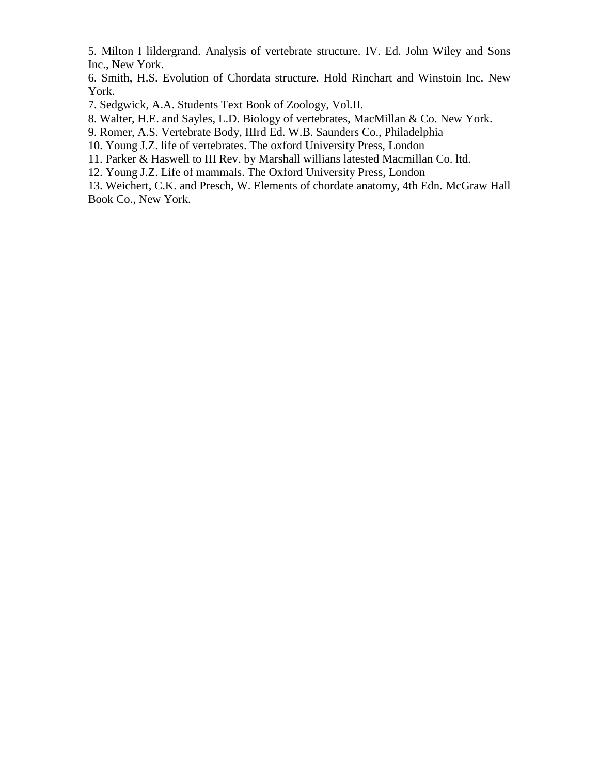5. Milton I lildergrand. Analysis of vertebrate structure. IV. Ed. John Wiley and Sons Inc., New York.

6. Smith, H.S. Evolution of Chordata structure. Hold Rinchart and Winstoin Inc. New York.

7. Sedgwick, A.A. Students Text Book of Zoology, Vol.II.

8. Walter, H.E. and Sayles, L.D. Biology of vertebrates, MacMillan & Co. New York.

9. Romer, A.S. Vertebrate Body, IIIrd Ed. W.B. Saunders Co., Philadelphia

10. Young J.Z. life of vertebrates. The oxford University Press, London

11. Parker & Haswell to III Rev. by Marshall willians latested Macmillan Co. ltd.

12. Young J.Z. Life of mammals. The Oxford University Press, London

13. Weichert, C.K. and Presch, W. Elements of chordate anatomy, 4th Edn. McGraw Hall Book Co., New York.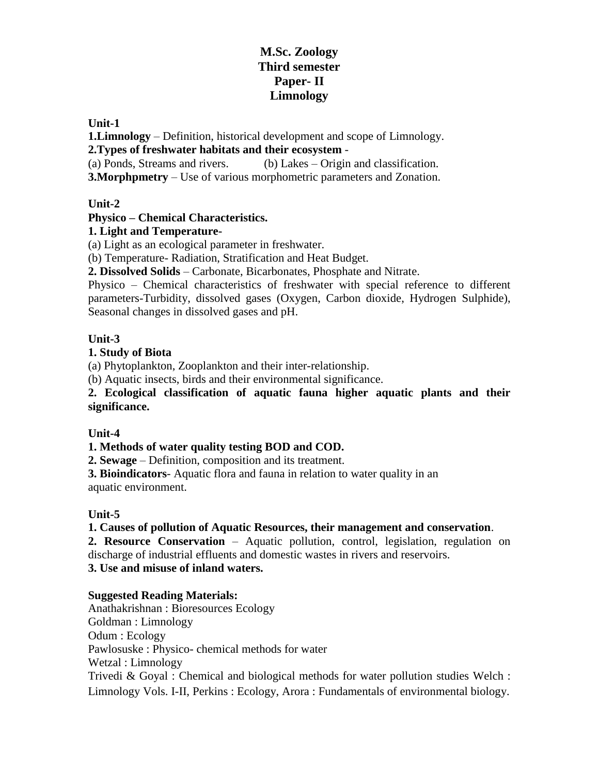# **M.Sc. Zoology Third semester Paper- II Limnology**

**Unit-1**

**1.Limnology** – Definition, historical development and scope of Limnology.

**2.Types of freshwater habitats and their ecosystem** -

(a) Ponds, Streams and rivers. (b) Lakes – Origin and classification.

**3.Morphpmetry** – Use of various morphometric parameters and Zonation.

## **Unit-2**

## **Physico – Chemical Characteristics.**

## **1. Light and Temperature-**

(a) Light as an ecological parameter in freshwater.

(b) Temperature- Radiation, Stratification and Heat Budget.

**2. Dissolved Solids** – Carbonate, Bicarbonates, Phosphate and Nitrate.

Physico – Chemical characteristics of freshwater with special reference to different parameters-Turbidity, dissolved gases (Oxygen, Carbon dioxide, Hydrogen Sulphide), Seasonal changes in dissolved gases and pH.

## **Unit-3**

## **1. Study of Biota**

(a) Phytoplankton, Zooplankton and their inter-relationship.

(b) Aquatic insects, birds and their environmental significance.

**2. Ecological classification of aquatic fauna higher aquatic plants and their significance.**

## **Unit-4**

## **1. Methods of water quality testing BOD and COD.**

**2. Sewage** – Definition, composition and its treatment.

**3. Bioindicators**- Aquatic flora and fauna in relation to water quality in an aquatic environment.

## **Unit-5**

## **1. Causes of pollution of Aquatic Resources, their management and conservation**.

**2. Resource Conservation** – Aquatic pollution, control, legislation, regulation on discharge of industrial effluents and domestic wastes in rivers and reservoirs.

**3. Use and misuse of inland waters.**

## **Suggested Reading Materials:**

Anathakrishnan : Bioresources Ecology Goldman : Limnology Odum : Ecology Pawlosuske : Physico- chemical methods for water Wetzal : Limnology Trivedi & Goyal : Chemical and biological methods for water pollution studies Welch : Limnology Vols. I-II, Perkins : Ecology, Arora : Fundamentals of environmental biology.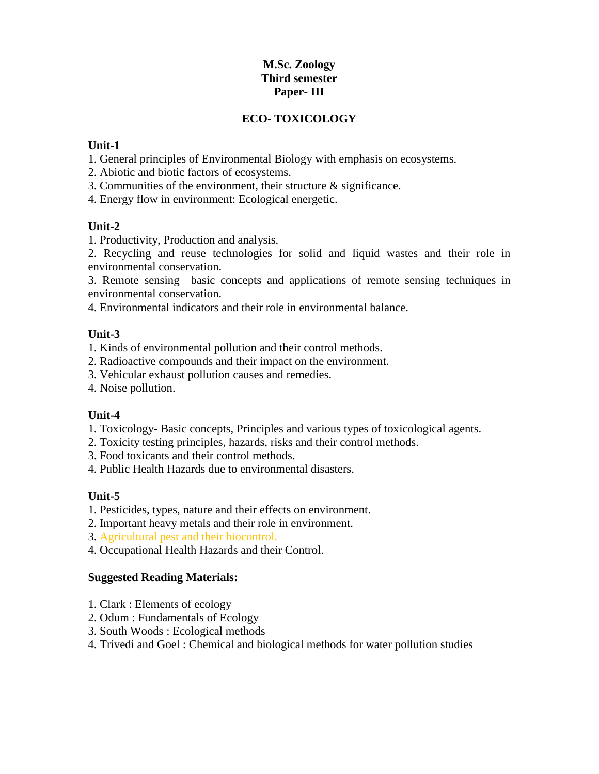## **M.Sc. Zoology Third semester Paper- III**

## **ECO- TOXICOLOGY**

### **Unit-1**

- 1. General principles of Environmental Biology with emphasis on ecosystems.
- 2. Abiotic and biotic factors of ecosystems.
- 3. Communities of the environment, their structure & significance.
- 4. Energy flow in environment: Ecological energetic.

## **Unit-2**

1. Productivity, Production and analysis.

2. Recycling and reuse technologies for solid and liquid wastes and their role in environmental conservation.

3. Remote sensing –basic concepts and applications of remote sensing techniques in environmental conservation.

4. Environmental indicators and their role in environmental balance.

### **Unit-3**

1. Kinds of environmental pollution and their control methods.

- 2. Radioactive compounds and their impact on the environment.
- 3. Vehicular exhaust pollution causes and remedies.
- 4. Noise pollution.

## **Unit-4**

- 1. Toxicology- Basic concepts, Principles and various types of toxicological agents.
- 2. Toxicity testing principles, hazards, risks and their control methods.
- 3. Food toxicants and their control methods.
- 4. Public Health Hazards due to environmental disasters.

## **Unit-5**

- 1. Pesticides, types, nature and their effects on environment.
- 2. Important heavy metals and their role in environment.
- 3. Agricultural pest and their biocontrol.
- 4. Occupational Health Hazards and their Control.

## **Suggested Reading Materials:**

- 1. Clark : Elements of ecology
- 2. Odum : Fundamentals of Ecology
- 3. South Woods : Ecological methods
- 4. Trivedi and Goel : Chemical and biological methods for water pollution studies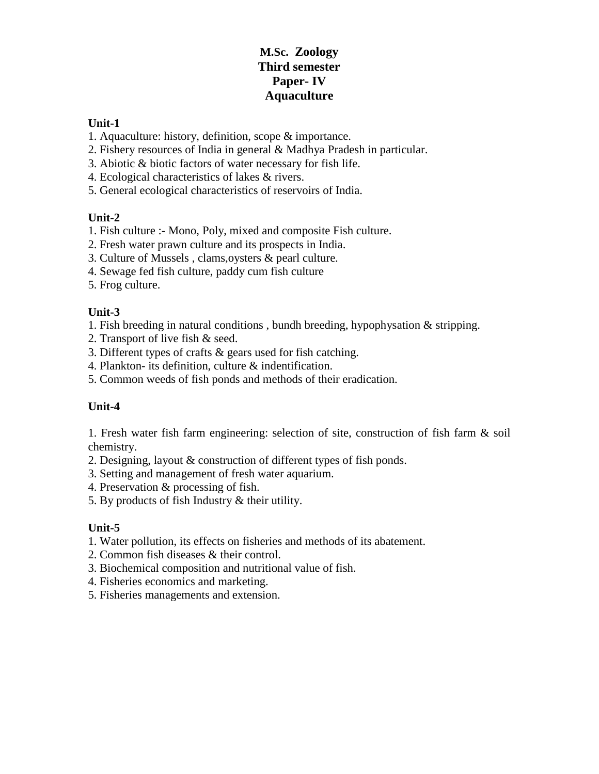# **M.Sc. Zoology Third semester Paper- IV Aquaculture**

### **Unit-1**

- 1. Aquaculture: history, definition, scope & importance.
- 2. Fishery resources of India in general & Madhya Pradesh in particular.
- 3. Abiotic & biotic factors of water necessary for fish life.
- 4. Ecological characteristics of lakes & rivers.
- 5. General ecological characteristics of reservoirs of India.

## **Unit-2**

- 1. Fish culture :- Mono, Poly, mixed and composite Fish culture.
- 2. Fresh water prawn culture and its prospects in India.
- 3. Culture of Mussels , clams,oysters & pearl culture.
- 4. Sewage fed fish culture, paddy cum fish culture
- 5. Frog culture.

## **Unit-3**

- 1. Fish breeding in natural conditions , bundh breeding, hypophysation & stripping.
- 2. Transport of live fish & seed.
- 3. Different types of crafts & gears used for fish catching.
- 4. Plankton- its definition, culture & indentification.
- 5. Common weeds of fish ponds and methods of their eradication.

## **Unit-4**

1. Fresh water fish farm engineering: selection of site, construction of fish farm & soil chemistry.

- 2. Designing, layout & construction of different types of fish ponds.
- 3. Setting and management of fresh water aquarium.
- 4. Preservation & processing of fish.
- 5. By products of fish Industry & their utility.

## **Unit-5**

- 1. Water pollution, its effects on fisheries and methods of its abatement.
- 2. Common fish diseases & their control.
- 3. Biochemical composition and nutritional value of fish.
- 4. Fisheries economics and marketing.
- 5. Fisheries managements and extension.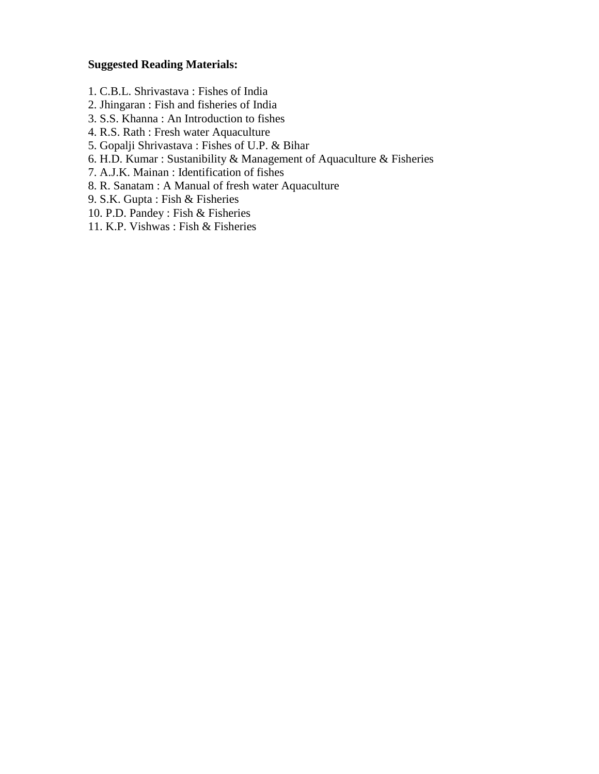### **Suggested Reading Materials:**

- 1. C.B.L. Shrivastava : Fishes of India
- 2. Jhingaran : Fish and fisheries of India
- 3. S.S. Khanna : An Introduction to fishes
- 4. R.S. Rath : Fresh water Aquaculture
- 5. Gopalji Shrivastava : Fishes of U.P. & Bihar
- 6. H.D. Kumar : Sustanibility & Management of Aquaculture & Fisheries
- 7. A.J.K. Mainan : Identification of fishes
- 8. R. Sanatam : A Manual of fresh water Aquaculture
- 9. S.K. Gupta : Fish & Fisheries
- 10. P.D. Pandey : Fish & Fisheries
- 11. K.P. Vishwas : Fish & Fisheries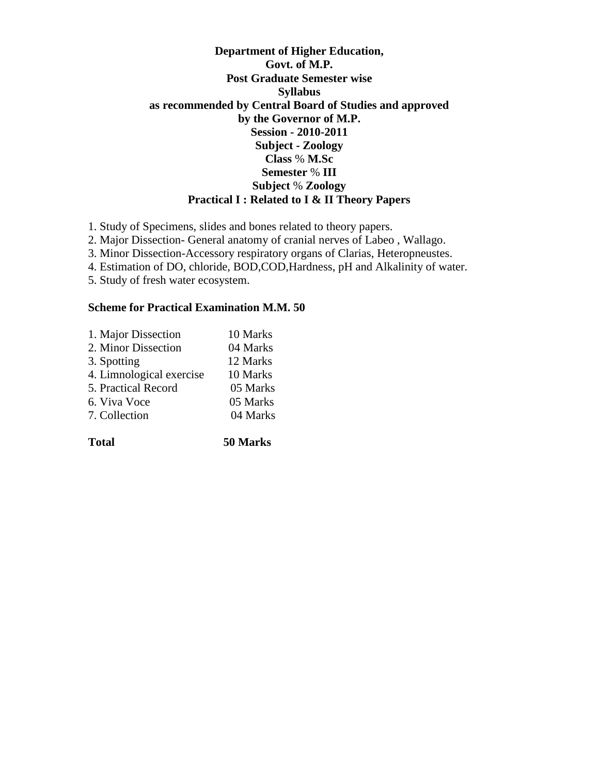## **Department of Higher Education, Govt. of M.P. Post Graduate Semester wise Syllabus as recommended by Central Board of Studies and approved by the Governor of M.P. Session - 2010-2011 Subject - Zoology Class** % **M.Sc Semester** % **III Subject** % **Zoology Practical I : Related to I & II Theory Papers**

1. Study of Specimens, slides and bones related to theory papers.

2. Major Dissection- General anatomy of cranial nerves of Labeo , Wallago.

3. Minor Dissection-Accessory respiratory organs of Clarias, Heteropneustes.

4. Estimation of DO, chloride, BOD,COD,Hardness, pH and Alkalinity of water.

5. Study of fresh water ecosystem.

#### **Scheme for Practical Examination M.M. 50**

| 1. Major Dissection      | 10 Marks |
|--------------------------|----------|
| 2. Minor Dissection      | 04 Marks |
| 3. Spotting              | 12 Marks |
| 4. Limnological exercise | 10 Marks |
| 5. Practical Record      | 05 Marks |
| 6. Viva Voce             | 05 Marks |
| 7. Collection            | 04 Marks |
|                          |          |

**Total 50 Marks**